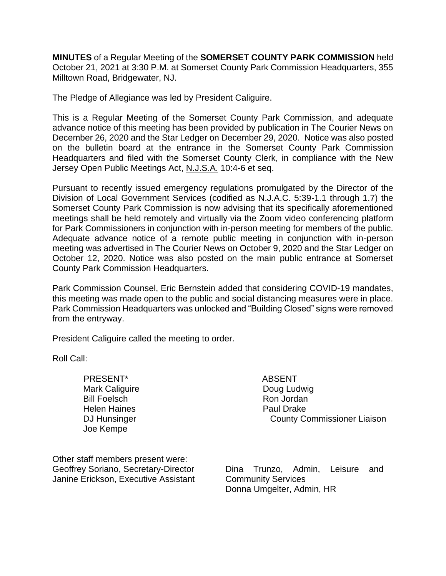**MINUTES** of a Regular Meeting of the **SOMERSET COUNTY PARK COMMISSION** held October 21, 2021 at 3:30 P.M. at Somerset County Park Commission Headquarters, 355 Milltown Road, Bridgewater, NJ.

The Pledge of Allegiance was led by President Caliguire.

This is a Regular Meeting of the Somerset County Park Commission, and adequate advance notice of this meeting has been provided by publication in The Courier News on December 26, 2020 and the Star Ledger on December 29, 2020. Notice was also posted on the bulletin board at the entrance in the Somerset County Park Commission Headquarters and filed with the Somerset County Clerk, in compliance with the New Jersey Open Public Meetings Act, N.J.S.A. 10:4-6 et seq.

Pursuant to recently issued emergency regulations promulgated by the Director of the Division of Local Government Services (codified as N.J.A.C. 5:39-1.1 through 1.7) the Somerset County Park Commission is now advising that its specifically aforementioned meetings shall be held remotely and virtually via the Zoom video conferencing platform for Park Commissioners in conjunction with in-person meeting for members of the public. Adequate advance notice of a remote public meeting in conjunction with in-person meeting was advertised in The Courier News on October 9, 2020 and the Star Ledger on October 12, 2020. Notice was also posted on the main public entrance at Somerset County Park Commission Headquarters.

Park Commission Counsel, Eric Bernstein added that considering COVID-19 mandates, this meeting was made open to the public and social distancing measures were in place. Park Commission Headquarters was unlocked and "Building Closed" signs were removed from the entryway.

President Caliguire called the meeting to order.

Roll Call:

PRESENT\* ABSENT Mark Caliguire Bill Foelsch Helen Haines DJ Hunsinger Joe Kempe

Doug Ludwig Ron Jordan Paul Drake County Commissioner Liaison

Other staff members present were: Geoffrey Soriano, Secretary-Director Janine Erickson, Executive Assistant

Dina Trunzo, Admin, Leisure and Community Services Donna Umgelter, Admin, HR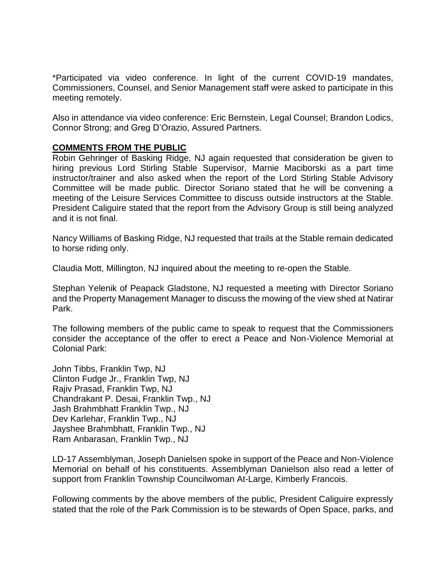\*Participated via video conference. In light of the current COVID-19 mandates, Commissioners, Counsel, and Senior Management staff were asked to participate in this meeting remotely.

Also in attendance via video conference: Eric Bernstein, Legal Counsel; Brandon Lodics, Connor Strong; and Greg D'Orazio, Assured Partners.

### **COMMENTS FROM THE PUBLIC**

Robin Gehringer of Basking Ridge, NJ again requested that consideration be given to hiring previous Lord Stirling Stable Supervisor, Marnie Maciborski as a part time instructor/trainer and also asked when the report of the Lord Stirling Stable Advisory Committee will be made public. Director Soriano stated that he will be convening a meeting of the Leisure Services Committee to discuss outside instructors at the Stable. President Caliguire stated that the report from the Advisory Group is still being analyzed and it is not final.

Nancy Williams of Basking Ridge, NJ requested that trails at the Stable remain dedicated to horse riding only.

Claudia Mott, Millington, NJ inquired about the meeting to re-open the Stable.

Stephan Yelenik of Peapack Gladstone, NJ requested a meeting with Director Soriano and the Property Management Manager to discuss the mowing of the view shed at Natirar Park.

The following members of the public came to speak to request that the Commissioners consider the acceptance of the offer to erect a Peace and Non-Violence Memorial at Colonial Park:

John Tibbs, Franklin Twp, NJ Clinton Fudge Jr., Franklin Twp, NJ Rajiv Prasad, Franklin Twp, NJ Chandrakant P. Desai, Franklin Twp., NJ Jash Brahmbhatt Franklin Twp., NJ Dev Karlehar, Franklin Twp., NJ Jayshee Brahmbhatt, Franklin Twp., NJ Ram Anbarasan, Franklin Twp., NJ

LD-17 Assemblyman, Joseph Danielsen spoke in support of the Peace and Non-Violence Memorial on behalf of his constituents. Assemblyman Danielson also read a letter of support from Franklin Township Councilwoman At-Large, Kimberly Francois.

Following comments by the above members of the public, President Caliguire expressly stated that the role of the Park Commission is to be stewards of Open Space, parks, and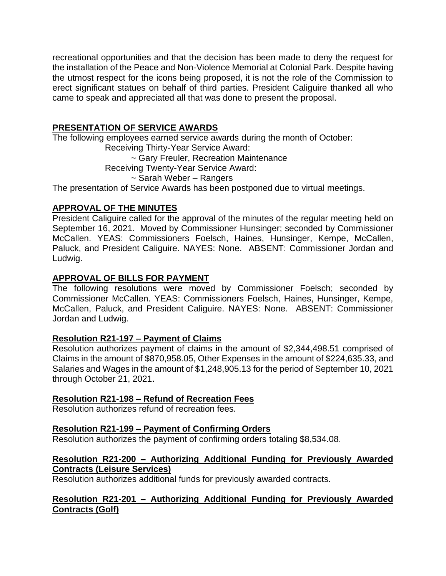recreational opportunities and that the decision has been made to deny the request for the installation of the Peace and Non-Violence Memorial at Colonial Park. Despite having the utmost respect for the icons being proposed, it is not the role of the Commission to erect significant statues on behalf of third parties. President Caliguire thanked all who came to speak and appreciated all that was done to present the proposal.

# **PRESENTATION OF SERVICE AWARDS**

The following employees earned service awards during the month of October: Receiving Thirty-Year Service Award: ~ Gary Freuler, Recreation Maintenance Receiving Twenty-Year Service Award: ~ Sarah Weber – Rangers The presentation of Service Awards has been postponed due to virtual meetings.

# **APPROVAL OF THE MINUTES**

President Caliguire called for the approval of the minutes of the regular meeting held on September 16, 2021. Moved by Commissioner Hunsinger; seconded by Commissioner McCallen. YEAS: Commissioners Foelsch, Haines, Hunsinger, Kempe, McCallen, Paluck, and President Caliguire. NAYES: None. ABSENT: Commissioner Jordan and Ludwig.

# **APPROVAL OF BILLS FOR PAYMENT**

The following resolutions were moved by Commissioner Foelsch; seconded by Commissioner McCallen. YEAS: Commissioners Foelsch, Haines, Hunsinger, Kempe, McCallen, Paluck, and President Caliguire. NAYES: None. ABSENT: Commissioner Jordan and Ludwig.

# **Resolution R21-197 – Payment of Claims**

Resolution authorizes payment of claims in the amount of \$2,344,498.51 comprised of Claims in the amount of \$870,958.05, Other Expenses in the amount of \$224,635.33, and Salaries and Wages in the amount of \$1,248,905.13 for the period of September 10, 2021 through October 21, 2021.

# **Resolution R21-198 – Refund of Recreation Fees**

Resolution authorizes refund of recreation fees.

# **Resolution R21-199 – Payment of Confirming Orders**

Resolution authorizes the payment of confirming orders totaling \$8,534.08.

# **Resolution R21-200 – Authorizing Additional Funding for Previously Awarded Contracts (Leisure Services)**

Resolution authorizes additional funds for previously awarded contracts.

# **Resolution R21-201 – Authorizing Additional Funding for Previously Awarded Contracts (Golf)**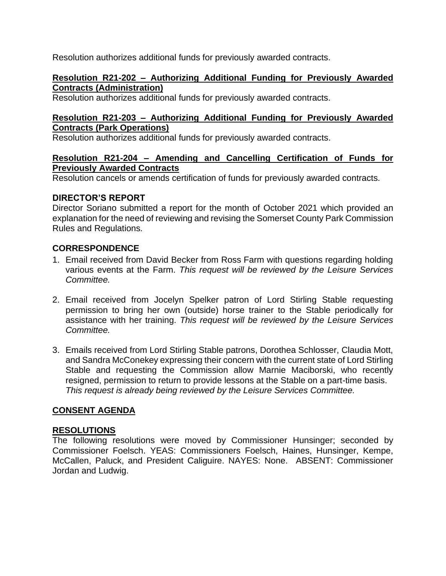Resolution authorizes additional funds for previously awarded contracts.

### **Resolution R21-202 – Authorizing Additional Funding for Previously Awarded Contracts (Administration)**

Resolution authorizes additional funds for previously awarded contracts.

### **Resolution R21-203 – Authorizing Additional Funding for Previously Awarded Contracts (Park Operations)**

Resolution authorizes additional funds for previously awarded contracts.

## **Resolution R21-204 – Amending and Cancelling Certification of Funds for Previously Awarded Contracts**

Resolution cancels or amends certification of funds for previously awarded contracts.

# **DIRECTOR'S REPORT**

Director Soriano submitted a report for the month of October 2021 which provided an explanation for the need of reviewing and revising the Somerset County Park Commission Rules and Regulations.

# **CORRESPONDENCE**

- 1. Email received from David Becker from Ross Farm with questions regarding holding various events at the Farm. *This request will be reviewed by the Leisure Services Committee.*
- 2. Email received from Jocelyn Spelker patron of Lord Stirling Stable requesting permission to bring her own (outside) horse trainer to the Stable periodically for assistance with her training. *This request will be reviewed by the Leisure Services Committee.*
- 3. Emails received from Lord Stirling Stable patrons, Dorothea Schlosser, Claudia Mott, and Sandra McConekey expressing their concern with the current state of Lord Stirling Stable and requesting the Commission allow Marnie Maciborski, who recently resigned, permission to return to provide lessons at the Stable on a part-time basis. *This request is already being reviewed by the Leisure Services Committee.*

# **CONSENT AGENDA**

# **RESOLUTIONS**

The following resolutions were moved by Commissioner Hunsinger; seconded by Commissioner Foelsch. YEAS: Commissioners Foelsch, Haines, Hunsinger, Kempe, McCallen, Paluck, and President Caliguire. NAYES: None. ABSENT: Commissioner Jordan and Ludwig.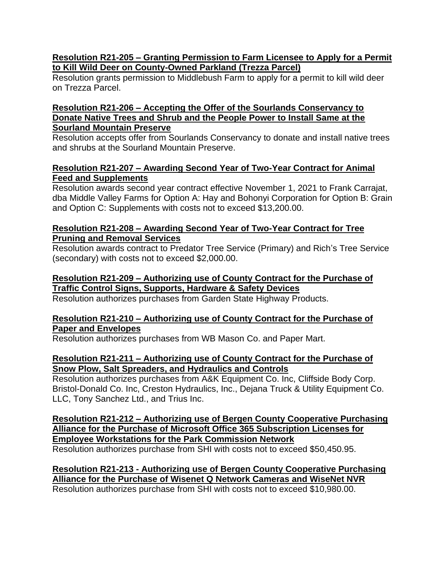### **Resolution R21-205 – Granting Permission to Farm Licensee to Apply for a Permit to Kill Wild Deer on County-Owned Parkland (Trezza Parcel)**

Resolution grants permission to Middlebush Farm to apply for a permit to kill wild deer on Trezza Parcel.

### **Resolution R21-206 – Accepting the Offer of the Sourlands Conservancy to Donate Native Trees and Shrub and the People Power to Install Same at the Sourland Mountain Preserve**

Resolution accepts offer from Sourlands Conservancy to donate and install native trees and shrubs at the Sourland Mountain Preserve.

# **Resolution R21-207 – Awarding Second Year of Two-Year Contract for Animal Feed and Supplements**

Resolution awards second year contract effective November 1, 2021 to Frank Carrajat, dba Middle Valley Farms for Option A: Hay and Bohonyi Corporation for Option B: Grain and Option C: Supplements with costs not to exceed \$13,200.00.

## **Resolution R21-208 – Awarding Second Year of Two-Year Contract for Tree Pruning and Removal Services**

Resolution awards contract to Predator Tree Service (Primary) and Rich's Tree Service (secondary) with costs not to exceed \$2,000.00.

## **Resolution R21-209 – Authorizing use of County Contract for the Purchase of Traffic Control Signs, Supports, Hardware & Safety Devices**

Resolution authorizes purchases from Garden State Highway Products.

## **Resolution R21-210 – Authorizing use of County Contract for the Purchase of Paper and Envelopes**

Resolution authorizes purchases from WB Mason Co. and Paper Mart.

# **Resolution R21-211 – Authorizing use of County Contract for the Purchase of Snow Plow, Salt Spreaders, and Hydraulics and Controls**

Resolution authorizes purchases from A&K Equipment Co. Inc, Cliffside Body Corp. Bristol-Donald Co. Inc, Creston Hydraulics, Inc., Dejana Truck & Utility Equipment Co. LLC, Tony Sanchez Ltd., and Trius Inc.

**Resolution R21-212 – Authorizing use of Bergen County Cooperative Purchasing Alliance for the Purchase of Microsoft Office 365 Subscription Licenses for Employee Workstations for the Park Commission Network** Resolution authorizes purchase from SHI with costs not to exceed \$50,450.95.

**Resolution R21-213 - Authorizing use of Bergen County Cooperative Purchasing Alliance for the Purchase of Wisenet Q Network Cameras and WiseNet NVR** Resolution authorizes purchase from SHI with costs not to exceed \$10,980.00.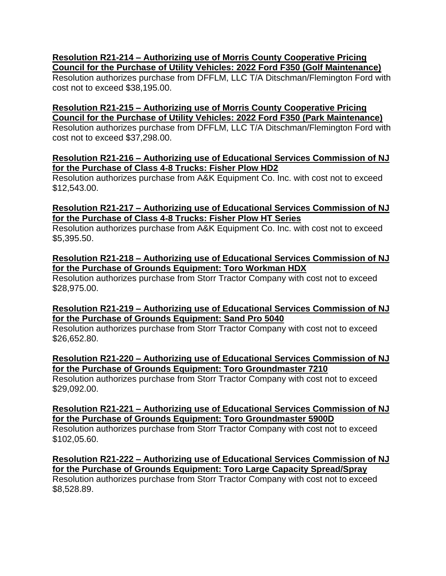## **Resolution R21-214 – Authorizing use of Morris County Cooperative Pricing Council for the Purchase of Utility Vehicles: 2022 Ford F350 (Golf Maintenance)**

Resolution authorizes purchase from DFFLM, LLC T/A Ditschman/Flemington Ford with cost not to exceed \$38,195.00.

## **Resolution R21-215 – Authorizing use of Morris County Cooperative Pricing Council for the Purchase of Utility Vehicles: 2022 Ford F350 (Park Maintenance)**

Resolution authorizes purchase from DFFLM, LLC T/A Ditschman/Flemington Ford with cost not to exceed \$37,298.00.

### **Resolution R21-216 – Authorizing use of Educational Services Commission of NJ for the Purchase of Class 4-8 Trucks: Fisher Plow HD2**

Resolution authorizes purchase from A&K Equipment Co. Inc. with cost not to exceed \$12,543.00.

## **Resolution R21-217 – Authorizing use of Educational Services Commission of NJ for the Purchase of Class 4-8 Trucks: Fisher Plow HT Series**

Resolution authorizes purchase from A&K Equipment Co. Inc. with cost not to exceed \$5,395.50.

## **Resolution R21-218 – Authorizing use of Educational Services Commission of NJ for the Purchase of Grounds Equipment: Toro Workman HDX**

Resolution authorizes purchase from Storr Tractor Company with cost not to exceed \$28,975.00.

## **Resolution R21-219 – Authorizing use of Educational Services Commission of NJ for the Purchase of Grounds Equipment: Sand Pro 5040**

Resolution authorizes purchase from Storr Tractor Company with cost not to exceed \$26,652.80.

**Resolution R21-220 – Authorizing use of Educational Services Commission of NJ for the Purchase of Grounds Equipment: Toro Groundmaster 7210** Resolution authorizes purchase from Storr Tractor Company with cost not to exceed \$29,092.00.

**Resolution R21-221 – Authorizing use of Educational Services Commission of NJ for the Purchase of Grounds Equipment: Toro Groundmaster 5900D** Resolution authorizes purchase from Storr Tractor Company with cost not to exceed \$102,05.60.

**Resolution R21-222 – Authorizing use of Educational Services Commission of NJ for the Purchase of Grounds Equipment: Toro Large Capacity Spread/Spray** Resolution authorizes purchase from Storr Tractor Company with cost not to exceed \$8,528.89.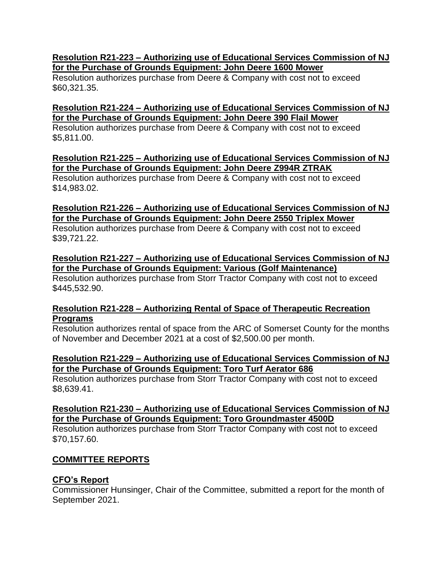#### **Resolution R21-223 – Authorizing use of Educational Services Commission of NJ for the Purchase of Grounds Equipment: John Deere 1600 Mower**

Resolution authorizes purchase from Deere & Company with cost not to exceed \$60,321.35.

## **Resolution R21-224 – Authorizing use of Educational Services Commission of NJ for the Purchase of Grounds Equipment: John Deere 390 Flail Mower**

Resolution authorizes purchase from Deere & Company with cost not to exceed \$5,811.00.

## **Resolution R21-225 – Authorizing use of Educational Services Commission of NJ for the Purchase of Grounds Equipment: John Deere Z994R ZTRAK**

Resolution authorizes purchase from Deere & Company with cost not to exceed \$14,983.02.

# **Resolution R21-226 – Authorizing use of Educational Services Commission of NJ for the Purchase of Grounds Equipment: John Deere 2550 Triplex Mower**

Resolution authorizes purchase from Deere & Company with cost not to exceed \$39,721.22.

## **Resolution R21-227 – Authorizing use of Educational Services Commission of NJ for the Purchase of Grounds Equipment: Various (Golf Maintenance)**

Resolution authorizes purchase from Storr Tractor Company with cost not to exceed \$445,532.90.

# **Resolution R21-228 – Authorizing Rental of Space of Therapeutic Recreation Programs**

Resolution authorizes rental of space from the ARC of Somerset County for the months of November and December 2021 at a cost of \$2,500.00 per month.

## **Resolution R21-229 – Authorizing use of Educational Services Commission of NJ for the Purchase of Grounds Equipment: Toro Turf Aerator 686**

Resolution authorizes purchase from Storr Tractor Company with cost not to exceed \$8,639.41.

# **Resolution R21-230 – Authorizing use of Educational Services Commission of NJ for the Purchase of Grounds Equipment: Toro Groundmaster 4500D**

Resolution authorizes purchase from Storr Tractor Company with cost not to exceed \$70,157.60.

# **COMMITTEE REPORTS**

# **CFO's Report**

Commissioner Hunsinger, Chair of the Committee, submitted a report for the month of September 2021.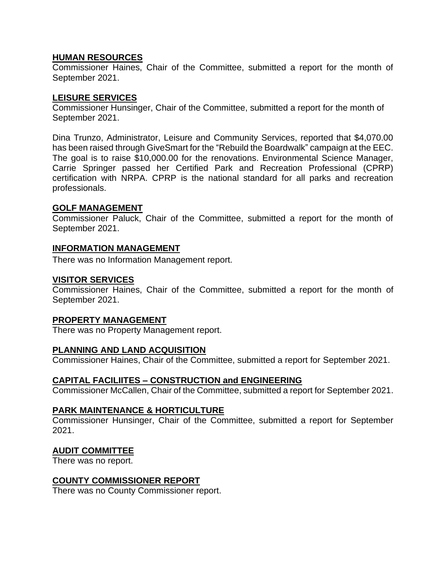#### **HUMAN RESOURCES**

Commissioner Haines, Chair of the Committee, submitted a report for the month of September 2021.

#### **LEISURE SERVICES**

Commissioner Hunsinger, Chair of the Committee, submitted a report for the month of September 2021.

Dina Trunzo, Administrator, Leisure and Community Services, reported that \$4,070.00 has been raised through GiveSmart for the "Rebuild the Boardwalk" campaign at the EEC. The goal is to raise \$10,000.00 for the renovations. Environmental Science Manager, Carrie Springer passed her Certified Park and Recreation Professional (CPRP) certification with NRPA. CPRP is the national standard for all parks and recreation professionals.

#### **GOLF MANAGEMENT**

Commissioner Paluck, Chair of the Committee, submitted a report for the month of September 2021.

#### **INFORMATION MANAGEMENT**

There was no Information Management report.

#### **VISITOR SERVICES**

Commissioner Haines, Chair of the Committee, submitted a report for the month of September 2021.

#### **PROPERTY MANAGEMENT**

There was no Property Management report.

### **PLANNING AND LAND ACQUISITION**

Commissioner Haines, Chair of the Committee, submitted a report for September 2021.

### **CAPITAL FACILIITES – CONSTRUCTION and ENGINEERING**

Commissioner McCallen, Chair of the Committee, submitted a report for September 2021.

#### **PARK MAINTENANCE & HORTICULTURE**

Commissioner Hunsinger, Chair of the Committee, submitted a report for September 2021.

#### **AUDIT COMMITTEE**

There was no report.

#### **COUNTY COMMISSIONER REPORT**

There was no County Commissioner report.